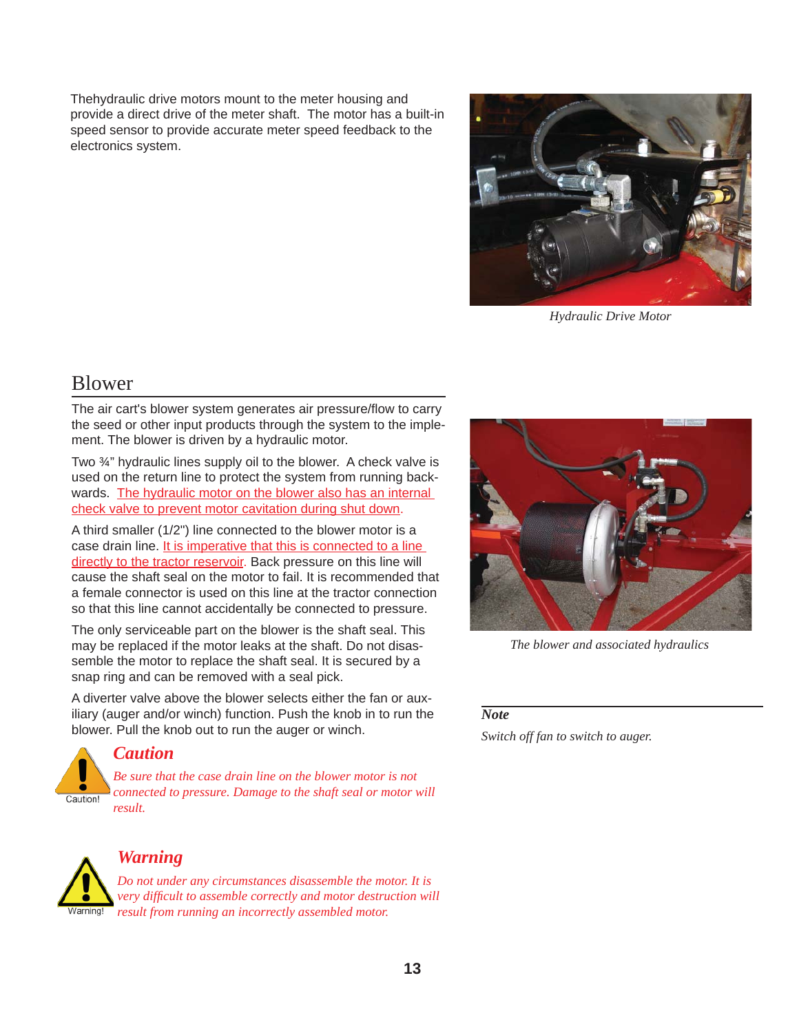Thehydraulic drive motors mount to the meter housing and provide a direct drive of the meter shaft. The motor has a built-in speed sensor to provide accurate meter speed feedback to the electronics system.



*Hydraulic Drive Motor*

# Blower

The air cart's blower system generates air pressure/flow to carry the seed or other input products through the system to the implement. The blower is driven by a hydraulic motor.

Two ¾" hydraulic lines supply oil to the blower. A check valve is used on the return line to protect the system from running backwards. The hydraulic motor on the blower also has an internal check valve to prevent motor cavitation during shut down.

A third smaller (1/2") line connected to the blower motor is a case drain line. It is imperative that this is connected to a line directly to the tractor reservoir. Back pressure on this line will cause the shaft seal on the motor to fail. It is recommended that a female connector is used on this line at the tractor connection so that this line cannot accidentally be connected to pressure.

The only serviceable part on the blower is the shaft seal. This may be replaced if the motor leaks at the shaft. Do not disassemble the motor to replace the shaft seal. It is secured by a snap ring and can be removed with a seal pick.

A diverter valve above the blower selects either the fan or auxiliary (auger and/or winch) function. Push the knob in to run the blower. Pull the knob out to run the auger or winch.



*The blower and associated hydraulics*

#### *Note*

*Switch off fan to switch to auger.*



### *Caution*

*Be sure that the case drain line on the blower motor is not connected to pressure. Damage to the shaft seal or motor will result.*



## *Warning*

*Do not under any circumstances disassemble the motor. It is very diffi cult to assemble correctly and motor destruction will result from running an incorrectly assembled motor.*